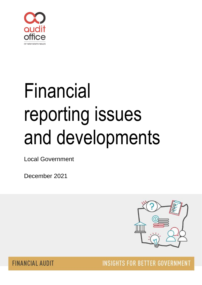

# Financial reporting issues and developments

Local Government

December 2021



**FINANCIAL AUDIT** 

**INSIGHTS FOR BETTER GOVERNMENT**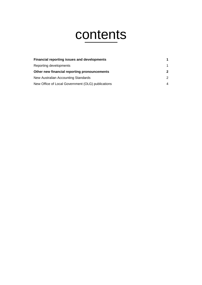## contents

| <b>Financial reporting issues and developments</b> |               |
|----------------------------------------------------|---------------|
| Reporting developments                             | 1             |
| Other new financial reporting pronouncements       | $\mathbf{2}$  |
| New Australian Accounting Standards                | $\mathcal{P}$ |
| New Office of Local Government (OLG) publications  | 4             |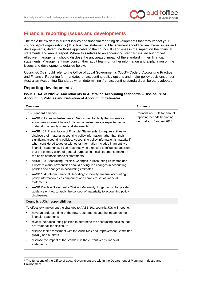

#### <span id="page-2-0"></span>**Financial reporting issues and developments**

The table below details current issues and financial reporting developments that may impact your council's/joint organisation's (JOs) financial statements. Management should review these issues and developments, determine those applicable to the council/JO and assess the impact on the financial statements and annual report. Where this relates to an accounting standard issued but not yet effective, management should disclose the anticipated impact of the standard in their financial statements. Management may consult their audit team for further information and explanation on the issues and developments detailed below.

Councils/JOs should refer to the Office of Local Government's (OLG)<sup>1</sup> Code of Accounting Practice and Financial Reporting for mandates on accounting policy options and major policy decisions under Australian Accounting Standards when determining if an accounting standard can be early adopted.

#### <span id="page-2-1"></span>**Reporting developments**

statements.

#### **Issue 1: AASB 2021-2 'Amendments to Australian Accounting Standards – Disclosure of Accounting Policies and Definition of Accounting Estimates'**

|           | <b>Overview</b>                                                                                                                                                                                                                                                                                                                                                                                                                                                                                                   | <b>Applies to</b>                                                                         |  |  |  |  |
|-----------|-------------------------------------------------------------------------------------------------------------------------------------------------------------------------------------------------------------------------------------------------------------------------------------------------------------------------------------------------------------------------------------------------------------------------------------------------------------------------------------------------------------------|-------------------------------------------------------------------------------------------|--|--|--|--|
|           | This Standard amends:<br>AASB 7 'Financial Instruments: Disclosures' to clarify that information<br>about measurement bases for financial instruments is expected to be<br>material to an entity's financial statements                                                                                                                                                                                                                                                                                           | Councils and JOs for annual<br>reporting periods beginning<br>on or after 1 January 2023. |  |  |  |  |
| $\bullet$ | AASB 101 'Presentation of Financial Statements' to require entities to<br>disclose their material accounting policy information rather than their<br>significant accounting policies. Accounting policy information is material if,<br>when considered together with other information included in an entity's<br>financial statements, it can reasonably be expected to influence decisions<br>that the primary users of general purpose financial statements make on<br>the basis of those financial statements |                                                                                           |  |  |  |  |
| $\bullet$ | AASB 108 'Accounting Policies, Changes in Accounting Estimates and<br>Errors' to clarify how entities should distinguish changes in accounting<br>policies and changes in accounting estimates                                                                                                                                                                                                                                                                                                                    |                                                                                           |  |  |  |  |
| $\bullet$ | AASB 134 'Interim Financial Reporting' to identify material accounting<br>policy information as a component of a complete set of financial<br>statements                                                                                                                                                                                                                                                                                                                                                          |                                                                                           |  |  |  |  |
| $\bullet$ | AASB Practice Statement 2 'Making Materiality Judgements', to provide<br>guidance on how to apply the concept of materiality to accounting policy<br>disclosures.                                                                                                                                                                                                                                                                                                                                                 |                                                                                           |  |  |  |  |
|           | <b>Councils' / JOs' responsibilities</b>                                                                                                                                                                                                                                                                                                                                                                                                                                                                          |                                                                                           |  |  |  |  |
|           | To effectively implement the changes to AASB 101 councils/JOs will need to:                                                                                                                                                                                                                                                                                                                                                                                                                                       |                                                                                           |  |  |  |  |
| $\bullet$ | have an understanding of the new requirements and the impact on their<br>financial statements                                                                                                                                                                                                                                                                                                                                                                                                                     |                                                                                           |  |  |  |  |
| $\bullet$ | review their accounting policies to determine the accounting policies that<br>are 'material' for disclosure                                                                                                                                                                                                                                                                                                                                                                                                       |                                                                                           |  |  |  |  |
| $\bullet$ | discuss their assessment with the Audit Risk and Improvement Committee<br>(ARIC) and auditors                                                                                                                                                                                                                                                                                                                                                                                                                     |                                                                                           |  |  |  |  |
|           | disclose the impact of the standard in the current year's financial                                                                                                                                                                                                                                                                                                                                                                                                                                               |                                                                                           |  |  |  |  |

<sup>&</sup>lt;sup>1</sup> The functions of the Office of Local Government are within the Department of Planning, Industry and Environment.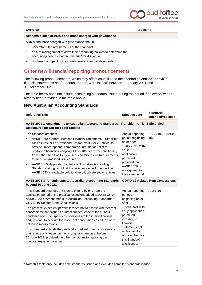

**Overview Applies to** 

#### **Responsibilities of ARICs and those charged with governance**

ARICs and those charged with governance should:

- understand the requirements of the Standard
- ensure management reviews their accounting policies to determine the accounting policies that are 'material' for disclosure
- disclose the impact in the current year's financial statements.

#### <span id="page-3-0"></span>**Other new financial reporting pronouncements**

The following pronouncements, which may affect councils and their controlled entities', and JOs' financial statements and/or annual reports, were issued<sup>2</sup> between 1 January 2021 and 31 December 2021.

The table below does not include accounting standards issued during the period if an overview has already been provided in the table above.

#### <span id="page-3-1"></span>**New Australian Accounting Standards**

| Reference/Title                                                                                                                                                                                                                                                                                                                                                                                                                                                                                                                                                                                                        | <b>Effective date</b>                                                                                                                                                                           | <b>Standards</b><br>amended/replaced |  |  |  |
|------------------------------------------------------------------------------------------------------------------------------------------------------------------------------------------------------------------------------------------------------------------------------------------------------------------------------------------------------------------------------------------------------------------------------------------------------------------------------------------------------------------------------------------------------------------------------------------------------------------------|-------------------------------------------------------------------------------------------------------------------------------------------------------------------------------------------------|--------------------------------------|--|--|--|
| AASB 2021-1 Amendments to Australian Accounting Standards - Transition to Tier 2 Simplified<br><b>Disclosures for Not-for-Profit Entities</b>                                                                                                                                                                                                                                                                                                                                                                                                                                                                          |                                                                                                                                                                                                 |                                      |  |  |  |
| The Standard amends:<br>AASB 1060 'General Purpose Financial Statements - Simplified<br>٠<br>Disclosures for For-Profit and Not-for-Profit Tier 2 Entities' to<br>provide limited optional comparative information relief for<br>not-for-profit entities adopting AASB 1060 early by transitioning<br>from either Tier 1 or Tier 2 - Reduced Disclosure Requirements<br>to Tier 2 - Simplified Disclosures.<br>AASB 1053 'Application of Tiers of Australian Accounting<br>٠<br>Standards' to highlight that the relief set out in Appendix E of<br>AASB 1053 is available only to for-profit private sector entities. | Annual reporting<br>period beginning<br>on or after<br>1 July 2021, with<br>earlier<br>application<br>permitted,<br>provided that<br><b>AASB 1060 is</b><br>also applied to<br>the same period. | AASB 1053, AASB<br>1060              |  |  |  |
| AASB 2021-3 'Amendments to Australian Accounting Standards - COVID-19-Related Rent Concessions<br>beyond 30 June 2021'                                                                                                                                                                                                                                                                                                                                                                                                                                                                                                 |                                                                                                                                                                                                 |                                      |  |  |  |
| This Standard amends AASB 16 to extend by one year the<br>application period of the practical expedient added to AASB 16 by<br>AASB 2020-4 'Amendments to Australian Accounting Standards -<br>COVID-19-Related Rent Concession's'.<br>The practical expedient permits lessees not to assess whether rent<br>concessions that occur as a direct consequence of the COVID-19<br>pandemic and meet specified conditions are lease modifications<br>and, instead, to account for those rent concessions as if they were<br>not lease modifications.                                                                       | Annual reporting<br>periods<br>beginning on or<br>after<br>1 April 2021 with<br>early application<br>permitted,<br>including in<br>financial<br>statements not<br>authorised for                | AASB <sub>16</sub>                   |  |  |  |
| This Standard extends the practical expedient to rent concessions<br>that reduce only lease payments originally due on or before                                                                                                                                                                                                                                                                                                                                                                                                                                                                                       |                                                                                                                                                                                                 |                                      |  |  |  |

issue at the date this Standard was issued.

30 June 2022, provided the other conditions for applying the

practical expedient are met.

**<sup>2</sup>** Note this table only includes new standards issued and excludes compiled standards issued.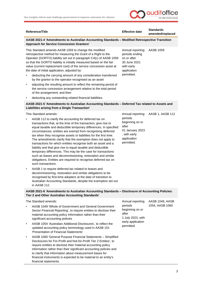

| Reference/Title                                                                                                                                                                                                                                                                                                                                                                                                                                                                                                                                                                                                                                                                                                                                                                                                                                                                                                                                                                                                                                                            | <b>Effective date</b>                                                                                                   | <b>Standards</b><br>amended/replaced |  |  |
|----------------------------------------------------------------------------------------------------------------------------------------------------------------------------------------------------------------------------------------------------------------------------------------------------------------------------------------------------------------------------------------------------------------------------------------------------------------------------------------------------------------------------------------------------------------------------------------------------------------------------------------------------------------------------------------------------------------------------------------------------------------------------------------------------------------------------------------------------------------------------------------------------------------------------------------------------------------------------------------------------------------------------------------------------------------------------|-------------------------------------------------------------------------------------------------------------------------|--------------------------------------|--|--|
| AASB 2021-4 'Amendments to Australian Accounting Standards - Modified Retrospective Transition<br><b>Approach for Service Concession Grantors'</b>                                                                                                                                                                                                                                                                                                                                                                                                                                                                                                                                                                                                                                                                                                                                                                                                                                                                                                                         |                                                                                                                         |                                      |  |  |
| This Standard amends AASB 1059 to change the modified<br>retrospective method for measuring the Grant of a Right to the<br>Operator (GORTO) liability set out in paragraph C4(c) of AASB 1059<br>so that the GORTO liability is initially measured based on the fair<br>value (current replacement cost) of the service concession asset at<br>the date of initial application, adjusted by:<br>deducting the carrying amount of any consideration transferred                                                                                                                                                                                                                                                                                                                                                                                                                                                                                                                                                                                                             | Annual reporting<br>periods ending<br>on or after<br>30 June 2021<br>with early<br>application<br>permitted.            | AASB 1059                            |  |  |
| by the grantor to the operator recognised as an asset<br>adjusting the resulting amount to reflect the remaining period of<br>٠<br>the service concession arrangement relative to the total period                                                                                                                                                                                                                                                                                                                                                                                                                                                                                                                                                                                                                                                                                                                                                                                                                                                                         |                                                                                                                         |                                      |  |  |
| of the arrangement; and then<br>deducting any outstanding related financial liabilities.                                                                                                                                                                                                                                                                                                                                                                                                                                                                                                                                                                                                                                                                                                                                                                                                                                                                                                                                                                                   |                                                                                                                         |                                      |  |  |
| AASB 2021-5 'Amendments to Australian Accounting Standards - Deferred Tax related to Assets and                                                                                                                                                                                                                                                                                                                                                                                                                                                                                                                                                                                                                                                                                                                                                                                                                                                                                                                                                                            |                                                                                                                         |                                      |  |  |
| Liabilities arising from a Single Transaction'                                                                                                                                                                                                                                                                                                                                                                                                                                                                                                                                                                                                                                                                                                                                                                                                                                                                                                                                                                                                                             |                                                                                                                         |                                      |  |  |
| This Standard amends:<br>AASB 112 to clarify the accounting for deferred tax on<br>transactions that, at the time of the transaction, give rise to<br>equal taxable and deductible temporary differences. In specified<br>circumstances, entities are exempt from recognising deferred<br>tax when they recognise assets or liabilities for the first time.<br>The amendments clarify that the exemption does not apply to<br>transactions for which entities recognise both an asset and a<br>liability and that give rise to equal taxable and deductible<br>temporary differences. This may be the case for transactions<br>such as leases and decommissioning, restoration and similar<br>obligations. Entities are required to recognise deferred tax on<br>such transactions.<br>AASB 1 to require deferred tax related to leases and<br>$\bullet$<br>decommissioning, restoration and similar obligations to be<br>recognised by first-time adopters at the date of transition to<br>Australian Accounting Standards, despite the exemption set out<br>in AASB 112. | Annual reporting<br>periods<br>beginning on or<br>after<br>01 January 2023<br>, with early<br>application<br>permitted. | AASB 1, AASB 112                     |  |  |
| AASB 2021-6 'Amendments to Australian Accounting Standards - Disclosure of Accounting Policies:                                                                                                                                                                                                                                                                                                                                                                                                                                                                                                                                                                                                                                                                                                                                                                                                                                                                                                                                                                            |                                                                                                                         |                                      |  |  |
| Tier 2 and Other Australian Accounting Standards'                                                                                                                                                                                                                                                                                                                                                                                                                                                                                                                                                                                                                                                                                                                                                                                                                                                                                                                                                                                                                          |                                                                                                                         |                                      |  |  |
| The Standard amends:<br>AASB 1049 'Whole of Government and General Government<br>Sector Financial Reporting', to require entities to disclose their<br>material accounting policy information rather than their<br>significant accounting policies                                                                                                                                                                                                                                                                                                                                                                                                                                                                                                                                                                                                                                                                                                                                                                                                                         | Annual reporting<br>periods<br>beginning on or<br>after<br>1 July 2023, with<br>early application<br>permitted          | AASB 1049, AASB<br>1054, AASB 1060   |  |  |
| AASB 1054 'Australian Additional Disclosures', to reflect the<br>$\bullet$<br>updated accounting policy terminology used in AASB 101<br>'Presentation of Financial Statements'                                                                                                                                                                                                                                                                                                                                                                                                                                                                                                                                                                                                                                                                                                                                                                                                                                                                                             |                                                                                                                         |                                      |  |  |
| AASB 1060 'General Purpose Financial Statements - Simplified<br>$\bullet$<br>Disclosures for For-Profit and Not-for-Profit Tier 2 Entities', to<br>require entities to disclose their material accounting policy<br>information rather than their significant accounting policies and<br>to clarify that information about measurement bases for<br>financial instruments is expected to be material to an entity's<br>financial statements.                                                                                                                                                                                                                                                                                                                                                                                                                                                                                                                                                                                                                               |                                                                                                                         |                                      |  |  |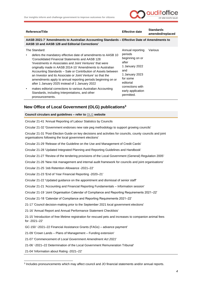

| Reference/Title                                                                                                                                                                                                                                                                                                                                                                                                                                                                                                                                                                                                                | <b>Effective date</b>                                                                                                                                                | <b>Standards</b><br>amended/replaced |  |  |  |
|--------------------------------------------------------------------------------------------------------------------------------------------------------------------------------------------------------------------------------------------------------------------------------------------------------------------------------------------------------------------------------------------------------------------------------------------------------------------------------------------------------------------------------------------------------------------------------------------------------------------------------|----------------------------------------------------------------------------------------------------------------------------------------------------------------------|--------------------------------------|--|--|--|
| AASB 2021-7 'Amendments to Australian Accounting Standards – Effective Date of Amendments to<br>AASB 10 and AASB 128 and Editorial Corrections'                                                                                                                                                                                                                                                                                                                                                                                                                                                                                |                                                                                                                                                                      |                                      |  |  |  |
| The Standard:<br>defers the mandatory effective date of amendments to AASB 10<br>'Consolidated Financial Statements and AASB 128<br>'Investments in Associates and Joint Ventures' that were<br>originally made in AASB 2014-10 'Amendments to Australian<br>Accounting Standards – Sale or Contribution of Assets between<br>an Investor and its Associate or Joint Venture' so that the<br>amendments apply to annual reporting periods beginning on or<br>after 1 January 2025 instead of 1 January 2022<br>makes editorial corrections to various Australian Accounting<br>Standards, including Interpretations, and other | Annual reporting<br>periods<br>beginning on or<br>after<br>1 January 2022<br>and<br>1 January 2023<br>for some<br>editorial<br>corrections with<br>early application | Various                              |  |  |  |
| pronouncements.                                                                                                                                                                                                                                                                                                                                                                                                                                                                                                                                                                                                                | permitted.                                                                                                                                                           |                                      |  |  |  |

#### <span id="page-5-0"></span>**New Office of Local Government (OLG) publications<sup>3</sup>**

**Council circulars and guidelines – refer to [OLG](https://www.olg.nsw.gov.au/circulars/) website**

Circular 21-41 'Annual Reporting of Labour Statistics by Councils

Circular 21-32 'Government endorses new rate peg methodology to support growing councils'

Circular 21-31 'Post-Election Guide on key decisions and activities for councils, county councils and joint organisations following the local government elections'

- Circular 21-29 'Release of the Guideline on the Use and Management of Credit Cards'
- Circular 21-28 'Updated Integrated Planning and Reporting Guidelines and Handbook'
- Circular 21-27 'Review of the tendering provisions of the Local Government (General) Regulation 2005'
- Circular 21-26 'New risk management and internal audit framework for councils and joint organisations'
- Circular 21-25 'Job Retention Allowance -2021–22'

Circular 21-23 'End of Year Financial Reporting -2020–21'

Circular 21-22 'Updated guidance on the appointment and dismissal of senior staff'

Circular 21-21 'Accounting and Financial Reporting Fundamentals – Information session'

Circular 21-19 'Joint Organisation Calendar of Compliance and Reporting Requirements 2021–22'

Circular 21-18 'Calendar of Compliance and Reporting Requirements 2021–22'

21-17 'Council decision-making prior to the September 2021 local government elections'

21-16 'Annual Report and Annual Performance Statement Checklists'

21-15 'Introduction of free lifetime registration for rescued pets and increases to companion animal fees for -2021–22'

GC-150 '-2021–22 Financial Assistance Grants (FAGs) – advance payment'

21-09 'Crown Lands – Plans of Management – Funding extension'

21-07 'Commencement of *Local Government Amendment Act 2021*'

21-06 '-2021–22 Determination of the Local Government Remuneration Tribunal'

21-04 'Information about Rating -2021–22'

<sup>3</sup> Includes pronouncements which may affect council and JO financial statements and/or annual reports.